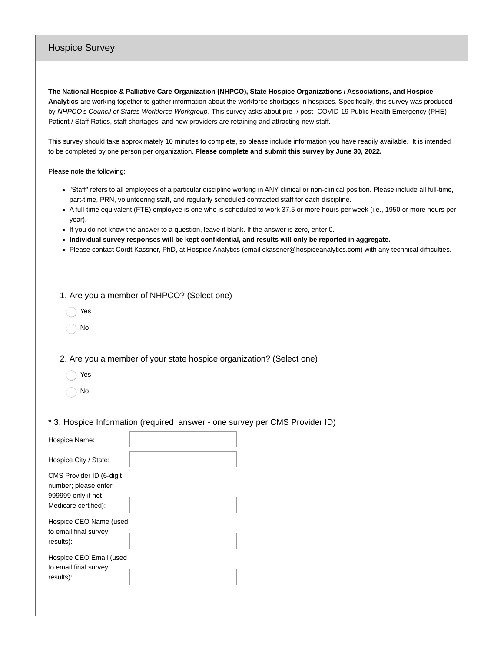## Hospice Survey

**The National Hospice & Palliative Care Organization (NHPCO), State Hospice Organizations / Associations, and Hospice Analytics** are working together to gather information about the workforce shortages in hospices. Specifically, this survey was produced by *NHPCO's Council of States Workforce Workgroup*. This survey asks about pre- / post- COVID-19 Public Health Emergency (PHE) Patient / Staff Ratios, staff shortages, and how providers are retaining and attracting new staff.

This survey should take approximately 10 minutes to complete, so please include information you have readily available. It is intended to be completed by one person per organization. **Please complete and submit this survey by June 30, 2022.**

Please note the following:

- "Staff" refers to all employees of a particular discipline working in ANY clinical or non-clinical position. Please include all full-time, part-time, PRN, volunteering staff, and regularly scheduled contracted staff for each discipline.
- A full-time equivalent (FTE) employee is one who is scheduled to work 37.5 or more hours per week (i.e., 1950 or more hours per year).
- If you do not know the answer to a question, leave it blank. If the answer is zero, enter 0.
- **Individual survey responses will be kept confidential, and results will only be reported in aggregate.**
- Please contact Cordt Kassner, PhD, at Hospice Analytics (email ckassner@hospiceanalytics.com) with any technical difficulties.

1. Are you a member of NHPCO? (Select one)

- Yes
- No

2. Are you a member of your state hospice organization? (Select one)

- Yes
- No
- \* 3. Hospice Information (required answer one survey per CMS Provider ID)

| Hospice Name:                                                          |  |
|------------------------------------------------------------------------|--|
| Hospice City / State:                                                  |  |
| CMS Provider ID (6-digit<br>number; please enter<br>999999 only if not |  |
| Medicare certified):                                                   |  |
| Hospice CEO Name (used<br>to email final survey<br>results):           |  |
| Hospice CEO Email (used<br>to email final survey<br>results):          |  |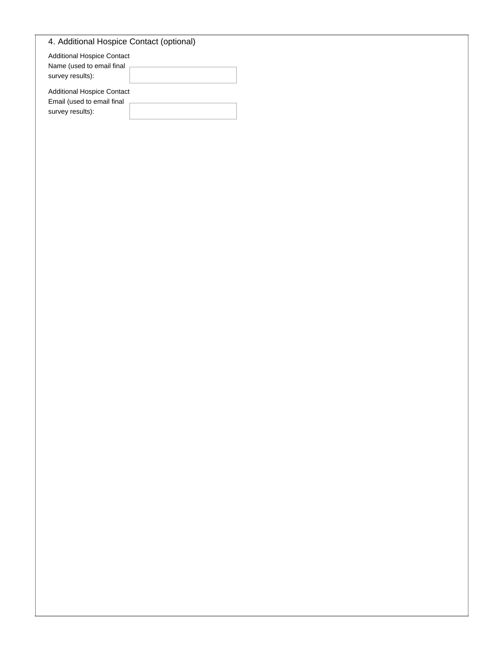| 4. Additional Hospice Contact (optional)                        |  |
|-----------------------------------------------------------------|--|
| <b>Additional Hospice Contact</b><br>Name (used to email final  |  |
| survey results):                                                |  |
| <b>Additional Hospice Contact</b><br>Email (used to email final |  |
| survey results):                                                |  |
|                                                                 |  |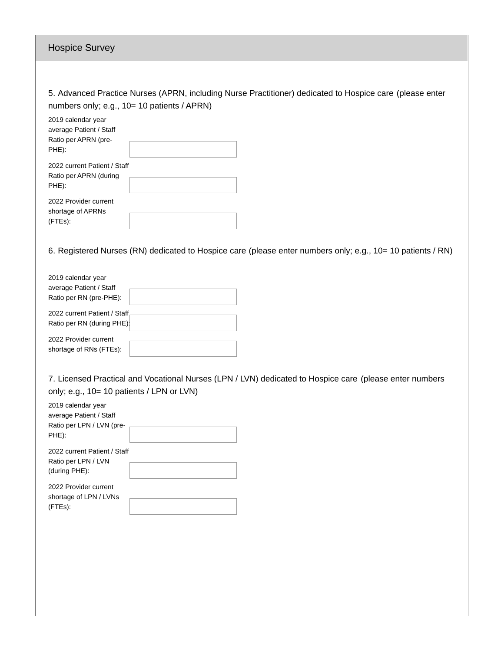| <b>Hospice Survey</b>                                                                                                                                                                                                                     |
|-------------------------------------------------------------------------------------------------------------------------------------------------------------------------------------------------------------------------------------------|
|                                                                                                                                                                                                                                           |
| 5. Advanced Practice Nurses (APRN, including Nurse Practitioner) dedicated to Hospice care (please enter<br>numbers only; e.g., 10= 10 patients / APRN)<br>2019 calendar year<br>average Patient / Staff<br>Ratio per APRN (pre-<br>PHE): |
| 2022 current Patient / Staff<br>Ratio per APRN (during<br>PHE):                                                                                                                                                                           |
| 2022 Provider current<br>shortage of APRNs<br>(FTEs):                                                                                                                                                                                     |
| 6. Registered Nurses (RN) dedicated to Hospice care (please enter numbers only; e.g., 10= 10 patients / RN)                                                                                                                               |
| 2019 calendar year<br>average Patient / Staff<br>Ratio per RN (pre-PHE):                                                                                                                                                                  |
| 2022 current Patient / Staff<br>Ratio per RN (during PHE):                                                                                                                                                                                |
| 2022 Provider current<br>shortage of RNs (FTEs):                                                                                                                                                                                          |
| 7. Licensed Practical and Vocational Nurses (LPN / LVN) dedicated to Hospice care (please enter numbers<br>only; e.g., 10= 10 patients / LPN or LVN)                                                                                      |
| 2019 calendar year<br>average Patient / Staff<br>Ratio per LPN / LVN (pre-<br>PHE):                                                                                                                                                       |
| 2022 current Patient / Staff<br>Ratio per LPN / LVN<br>(during PHE):                                                                                                                                                                      |
| 2022 Provider current<br>shortage of LPN / LVNs<br>(FTEs):                                                                                                                                                                                |
|                                                                                                                                                                                                                                           |
|                                                                                                                                                                                                                                           |
|                                                                                                                                                                                                                                           |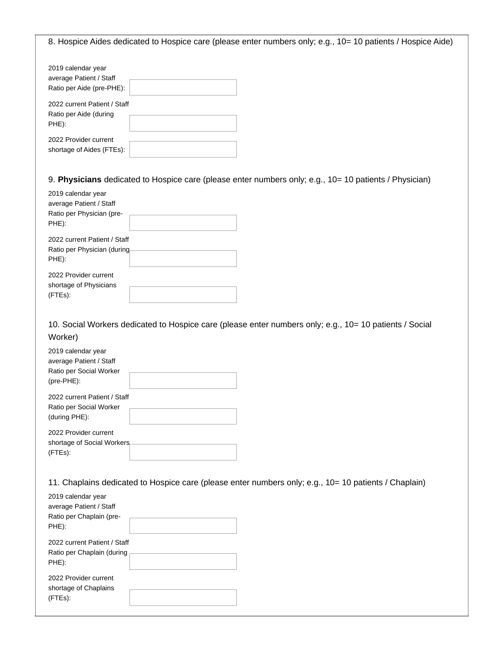8. Hospice Aides dedicated to Hospice care (please enter numbers only; e.g., 10= 10 patients / Hospice Aide)

| 2019 calendar year<br>average Patient / Staff<br>Ratio per Aide (pre-PHE): |  |
|----------------------------------------------------------------------------|--|
| 2022 current Patient / Staff<br>Ratio per Aide (during<br>PHE):            |  |
| 2022 Provider current<br>shortage of Aides (FTEs):                         |  |

9. **Physicians** dedicated to Hospice care (please enter numbers only; e.g., 10= 10 patients / Physician)

| 2019 calendar year           |  |
|------------------------------|--|
| average Patient / Staff      |  |
| Ratio per Physician (pre-    |  |
| PHE):                        |  |
| 2022 current Patient / Staff |  |
| Ratio per Physician (during  |  |
| PHE):                        |  |
| 2022 Provider current        |  |
| shortage of Physicians       |  |
| (FTEs):                      |  |

10. Social Workers dedicated to Hospice care (please enter numbers only; e.g., 10= 10 patients / Social Worker)

| 2019 calendar year           |  |
|------------------------------|--|
| average Patient / Staff      |  |
| Ratio per Social Worker      |  |
| $(pre-PHE)$ :                |  |
| 2022 current Patient / Staff |  |
| Ratio per Social Worker      |  |
| (during PHE):                |  |
| 2022 Provider current        |  |
| shortage of Social Workers   |  |
| (FTEs):                      |  |

11. Chaplains dedicated to Hospice care (please enter numbers only; e.g., 10= 10 patients / Chaplain)

| 2019 calendar year           |  |
|------------------------------|--|
| average Patient / Staff      |  |
| Ratio per Chaplain (pre-     |  |
| PHE):                        |  |
| 2022 current Patient / Staff |  |
| Ratio per Chaplain (during   |  |
| PHE):                        |  |
| 2022 Provider current        |  |
| shortage of Chaplains        |  |
| (FTEs):                      |  |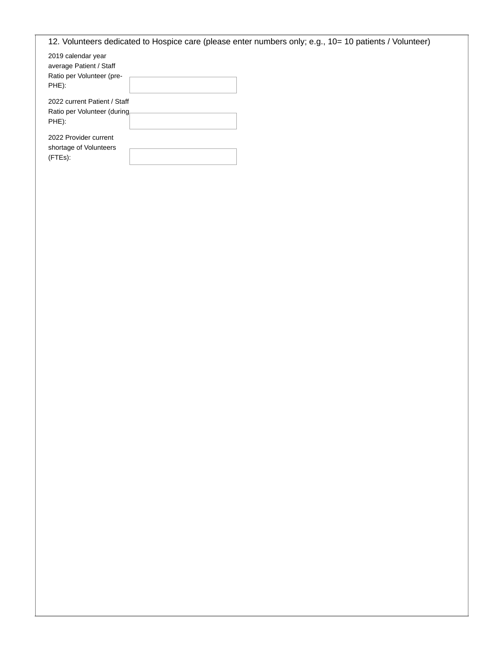| 12. Volunteers dedicated to Hospice care (please enter numbers only; e.g., 10= 10 patients / Volunteer) |  |
|---------------------------------------------------------------------------------------------------------|--|
| 2019 calendar year<br>average Patient / Staff<br>Ratio per Volunteer (pre-<br>PHE):                     |  |
| 2022 current Patient / Staff<br>Ratio per Volunteer (during<br>PHE):                                    |  |
| 2022 Provider current<br>shortage of Volunteers<br>(FTEs):                                              |  |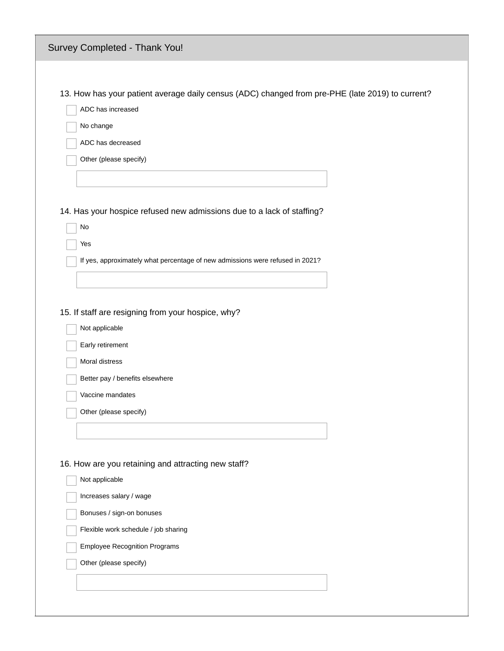| Survey Completed - Thank You!                                                                    |  |
|--------------------------------------------------------------------------------------------------|--|
|                                                                                                  |  |
| 13. How has your patient average daily census (ADC) changed from pre-PHE (late 2019) to current? |  |
| ADC has increased                                                                                |  |
| No change                                                                                        |  |
| ADC has decreased                                                                                |  |
| Other (please specify)                                                                           |  |
|                                                                                                  |  |
|                                                                                                  |  |
| 14. Has your hospice refused new admissions due to a lack of staffing?                           |  |
| No                                                                                               |  |
| Yes                                                                                              |  |
| If yes, approximately what percentage of new admissions were refused in 2021?                    |  |
|                                                                                                  |  |
|                                                                                                  |  |
| 15. If staff are resigning from your hospice, why?                                               |  |
| Not applicable                                                                                   |  |
| Early retirement                                                                                 |  |
| Moral distress                                                                                   |  |
| Better pay / benefits elsewhere                                                                  |  |
| Vaccine mandates                                                                                 |  |
| Other (please specify)                                                                           |  |
|                                                                                                  |  |
|                                                                                                  |  |
|                                                                                                  |  |
| 16. How are you retaining and attracting new staff?                                              |  |
| Not applicable                                                                                   |  |
| Increases salary / wage                                                                          |  |
| Bonuses / sign-on bonuses                                                                        |  |
| Flexible work schedule / job sharing                                                             |  |
| <b>Employee Recognition Programs</b>                                                             |  |
| Other (please specify)                                                                           |  |
|                                                                                                  |  |